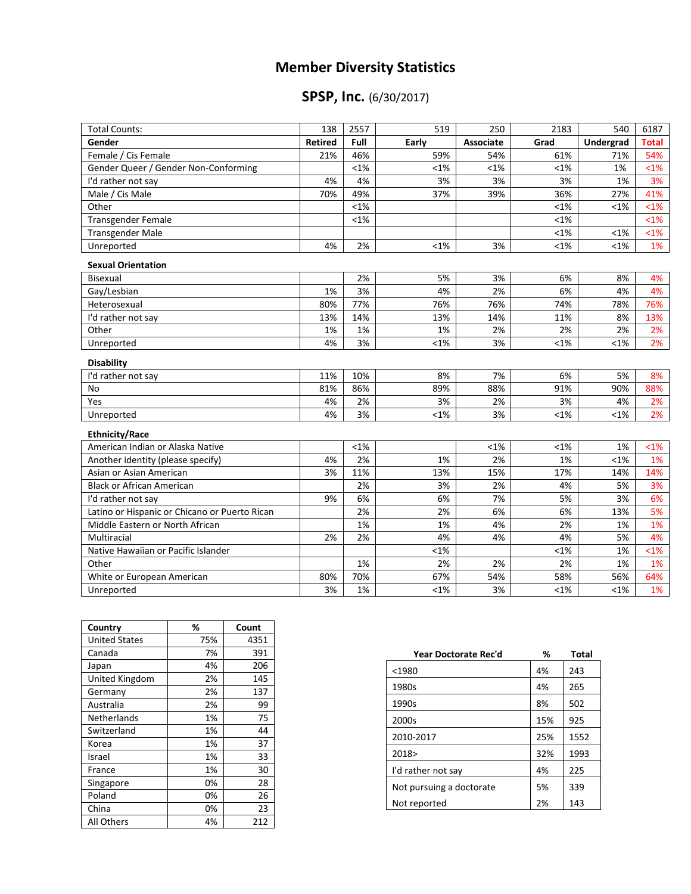## **Member Diversity Statistics**

## **SPSP, Inc.** (6/30/2017)

| <b>Total Counts:</b>                          | 138            | 2557    | 519     | 250       | 2183    | 540       | 6187    |
|-----------------------------------------------|----------------|---------|---------|-----------|---------|-----------|---------|
| Gender                                        | <b>Retired</b> | Full    | Early   | Associate | Grad    | Undergrad | Total   |
| Female / Cis Female                           | 21%            | 46%     | 59%     | 54%       | 61%     | 71%       | 54%     |
| Gender Queer / Gender Non-Conforming          |                | $< 1\%$ | $< 1\%$ | $< 1\%$   | $< 1\%$ | 1%        | $1%$    |
| I'd rather not say                            | 4%             | 4%      | 3%      | 3%        | 3%      | 1%        | 3%      |
| Male / Cis Male                               | 70%            | 49%     | 37%     | 39%       | 36%     | 27%       | 41%     |
| Other                                         |                | $< 1\%$ |         |           | $< 1\%$ | $< 1\%$   | $<$ 1%  |
| <b>Transgender Female</b>                     |                | $< 1\%$ |         |           | $< 1\%$ |           | $1%$    |
| Transgender Male                              |                |         |         |           | $<1\%$  | $< 1\%$   | $<1\%$  |
| Unreported                                    | 4%             | 2%      | $< 1\%$ | 3%        | $<1\%$  | $< 1\%$   | 1%      |
| <b>Sexual Orientation</b>                     |                |         |         |           |         |           |         |
| <b>Bisexual</b>                               |                | 2%      | 5%      | 3%        | 6%      | 8%        | 4%      |
| Gay/Lesbian                                   | 1%             | 3%      | 4%      | 2%        | 6%      | 4%        | 4%      |
| Heterosexual                                  | 80%            | 77%     | 76%     | 76%       | 74%     | 78%       | 76%     |
| I'd rather not say                            | 13%            | 14%     | 13%     | 14%       | 11%     | 8%        | 13%     |
| Other                                         | 1%             | 1%      | 1%      | 2%        | 2%      | 2%        | 2%      |
| Unreported                                    | 4%             | 3%      | $< 1\%$ | 3%        | $< 1\%$ | $< 1\%$   | 2%      |
| <b>Disability</b>                             |                |         |         |           |         |           |         |
| I'd rather not say                            | 11%            | 10%     | 8%      | 7%        | 6%      | 5%        | 8%      |
| <b>No</b>                                     | 81%            | 86%     | 89%     | 88%       | 91%     | 90%       | 88%     |
| Yes                                           | 4%             | 2%      | 3%      | 2%        | 3%      | 4%        | 2%      |
| Unreported                                    | 4%             | 3%      | $< 1\%$ | 3%        | $< 1\%$ | $< 1\%$   | 2%      |
| <b>Ethnicity/Race</b>                         |                |         |         |           |         |           |         |
| American Indian or Alaska Native              |                | $< 1\%$ |         | <1%       | <1%     | 1%        | $< 1\%$ |
| Another identity (please specify)             | 4%             | 2%      | 1%      | 2%        | 1%      | $< 1\%$   | 1%      |
| Asian or Asian American                       | 3%             | 11%     | 13%     | 15%       | 17%     | 14%       | 14%     |
| <b>Black or African American</b>              |                | 2%      | 3%      | 2%        | 4%      | 5%        | 3%      |
| I'd rather not say                            | 9%             | 6%      | 6%      | 7%        | 5%      | 3%        | 6%      |
| Latino or Hispanic or Chicano or Puerto Rican |                | 2%      | 2%      | 6%        | 6%      | 13%       | 5%      |
| Middle Eastern or North African               |                | 1%      | 1%      | 4%        | 2%      | 1%        | 1%      |
| Multiracial                                   | 2%             | 2%      | 4%      | 4%        | 4%      | 5%        | 4%      |
| Native Hawaiian or Pacific Islander           |                |         | $< 1\%$ |           | $< 1\%$ | 1%        | $< 1\%$ |
| Other                                         |                | 1%      | 2%      | 2%        | 2%      | 1%        | 1%      |
| White or European American                    | 80%            | 70%     | 67%     | 54%       | 58%     | 56%       | 64%     |
| Unreported                                    | 3%             | 1%      | $< 1\%$ | 3%        | $< 1\%$ | $< 1\%$   | 1%      |

| Country              | %   | Count |
|----------------------|-----|-------|
| <b>United States</b> | 75% | 4351  |
| Canada               | 7%  | 391   |
| Japan                | 4%  | 206   |
| United Kingdom       | 2%  | 145   |
| Germany              | 2%  | 137   |
| Australia            | 2%  | 99    |
| Netherlands          | 1%  | 75    |
| Switzerland          | 1%  | 44    |
| Korea                | 1%  | 37    |
| Israel               | 1%  | 33    |
| France               | 1%  | 30    |
| Singapore            | 0%  | 28    |
| Poland               | 0%  | 26    |
| China                | 0%  | 23    |
| All Others           | 4%  | 212   |

| Year Doctorate Rec'd     | ℅   | <b>Total</b> |
|--------------------------|-----|--------------|
| $<$ 1980                 | 4%  | 243          |
| 1980s                    | 4%  | 265          |
| 1990s                    | 8%  | 502          |
| 2000s                    | 15% | 925          |
| 2010-2017                | 25% | 1552         |
| 2018>                    | 32% | 1993         |
| I'd rather not say       | 4%  | 225          |
| Not pursuing a doctorate | 5%  | 339          |
| Not reported             | 2%  | 143          |